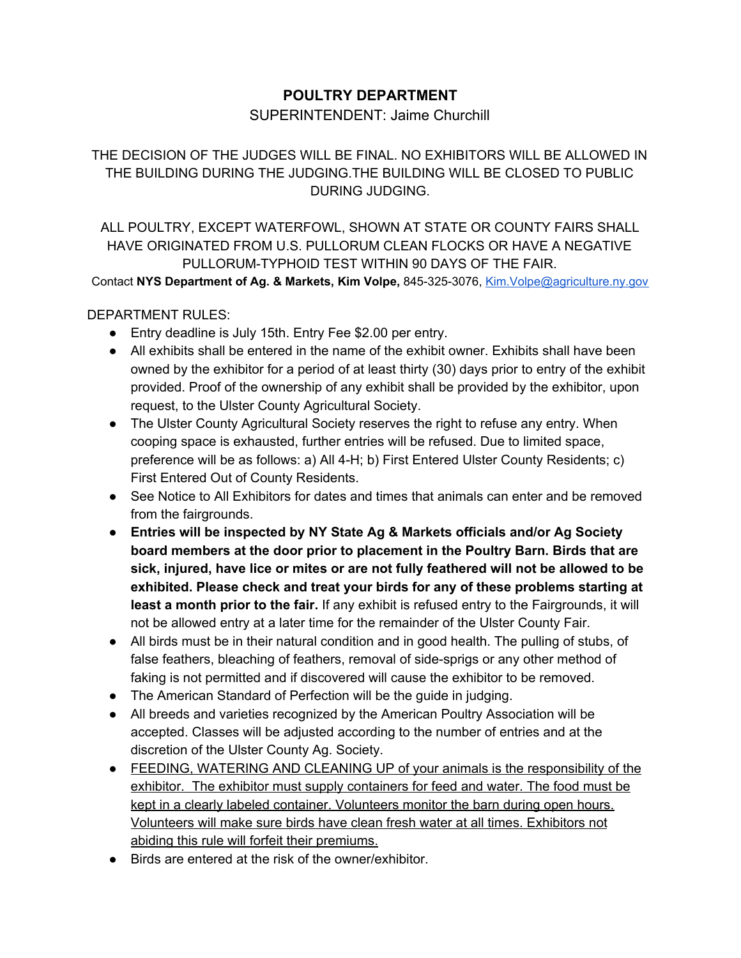## **POULTRY DEPARTMENT**

## SUPERINTENDENT: Jaime Churchill

THE DECISION OF THE JUDGES WILL BE FINAL. NO EXHIBITORS WILL BE ALLOWED IN THE BUILDING DURING THE JUDGING.THE BUILDING WILL BE CLOSED TO PUBLIC DURING JUDGING.

ALL POULTRY, EXCEPT WATERFOWL, SHOWN AT STATE OR COUNTY FAIRS SHALL HAVE ORIGINATED FROM U.S. PULLORUM CLEAN FLOCKS OR HAVE A NEGATIVE PULLORUM-TYPHOID TEST WITHIN 90 DAYS OF THE FAIR.

Contact **NYS Department of Ag. & Markets, Kim Volpe,** 845-325-3076, [Kim.Volpe@agriculture.ny.gov](mailto:Kim.Volpe@agriculture.ny.gov)

### DEPARTMENT RULES:

- Entry deadline is July 15th. Entry Fee \$2.00 per entry.
- All exhibits shall be entered in the name of the exhibit owner. Exhibits shall have been owned by the exhibitor for a period of at least thirty (30) days prior to entry of the exhibit provided. Proof of the ownership of any exhibit shall be provided by the exhibitor, upon request, to the Ulster County Agricultural Society.
- The Ulster County Agricultural Society reserves the right to refuse any entry. When cooping space is exhausted, further entries will be refused. Due to limited space, preference will be as follows: a) All 4-H; b) First Entered Ulster County Residents; c) First Entered Out of County Residents.
- See Notice to All Exhibitors for dates and times that animals can enter and be removed from the fairgrounds.
- **Entries will be inspected by NY State Ag & Markets officials and/or Ag Society board members at the door prior to placement in the Poultry Barn. Birds that are sick, injured, have lice or mites or are not fully feathered will not be allowed to be exhibited. Please check and treat your birds for any of these problems starting at least a month prior to the fair.** If any exhibit is refused entry to the Fairgrounds, it will not be allowed entry at a later time for the remainder of the Ulster County Fair.
- All birds must be in their natural condition and in good health. The pulling of stubs, of false feathers, bleaching of feathers, removal of side-sprigs or any other method of faking is not permitted and if discovered will cause the exhibitor to be removed.
- The American Standard of Perfection will be the guide in judging.
- All breeds and varieties recognized by the American Poultry Association will be accepted. Classes will be adjusted according to the number of entries and at the discretion of the Ulster County Ag. Society.
- FEEDING, WATERING AND CLEANING UP of your animals is the responsibility of the exhibitor. The exhibitor must supply containers for feed and water. The food must be kept in a clearly labeled container. Volunteers monitor the barn during open hours. Volunteers will make sure birds have clean fresh water at all times. Exhibitors not abiding this rule will forfeit their premiums.
- Birds are entered at the risk of the owner/exhibitor.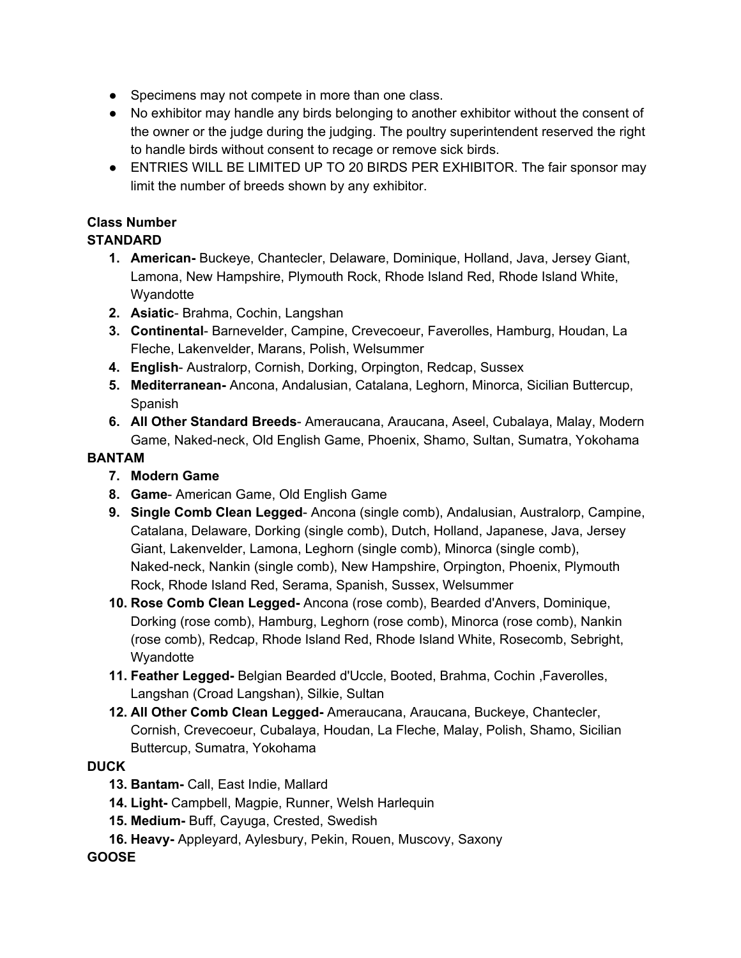- Specimens may not compete in more than one class.
- No exhibitor may handle any birds belonging to another exhibitor without the consent of the owner or the judge during the judging. The poultry superintendent reserved the right to handle birds without consent to recage or remove sick birds.
- ENTRIES WILL BE LIMITED UP TO 20 BIRDS PER EXHIBITOR. The fair sponsor may limit the number of breeds shown by any exhibitor.

# **Class Number**

# **STANDARD**

- **1. American-** Buckeye, Chantecler, Delaware, Dominique, Holland, Java, Jersey Giant, Lamona, New Hampshire, Plymouth Rock, Rhode Island Red, Rhode Island White, **Wyandotte**
- **2. Asiatic** Brahma, Cochin, Langshan
- **3. Continental** Barnevelder, Campine, Crevecoeur, Faverolles, Hamburg, Houdan, La Fleche, Lakenvelder, Marans, Polish, Welsummer
- **4. English** Australorp, Cornish, Dorking, Orpington, Redcap, Sussex
- **5. Mediterranean-** Ancona, Andalusian, Catalana, Leghorn, Minorca, Sicilian Buttercup, Spanish
- **6. All Other Standard Breeds** Ameraucana, Araucana, Aseel, Cubalaya, Malay, Modern Game, Naked-neck, Old English Game, Phoenix, Shamo, Sultan, Sumatra, Yokohama

### **BANTAM**

- **7. Modern Game**
- **8. Game** American Game, Old English Game
- **9. Single Comb Clean Legged** Ancona (single comb), Andalusian, Australorp, Campine, Catalana, Delaware, Dorking (single comb), Dutch, Holland, Japanese, Java, Jersey Giant, Lakenvelder, Lamona, Leghorn (single comb), Minorca (single comb), Naked-neck, Nankin (single comb), New Hampshire, Orpington, Phoenix, Plymouth Rock, Rhode Island Red, Serama, Spanish, Sussex, Welsummer
- **10. Rose Comb Clean Legged-** Ancona (rose comb), Bearded d'Anvers, Dominique, Dorking (rose comb), Hamburg, Leghorn (rose comb), Minorca (rose comb), Nankin (rose comb), Redcap, Rhode Island Red, Rhode Island White, Rosecomb, Sebright, **Wyandotte**
- **11. Feather Legged-** Belgian Bearded d'Uccle, Booted, Brahma, Cochin ,Faverolles, Langshan (Croad Langshan), Silkie, Sultan
- **12. All Other Comb Clean Legged-** Ameraucana, Araucana, Buckeye, Chantecler, Cornish, Crevecoeur, Cubalaya, Houdan, La Fleche, Malay, Polish, Shamo, Sicilian Buttercup, Sumatra, Yokohama

# **DUCK**

- **13. Bantam-** Call, East Indie, Mallard
- **14. Light-** Campbell, Magpie, Runner, Welsh Harlequin
- **15. Medium-** Buff, Cayuga, Crested, Swedish
- **16. Heavy-** Appleyard, Aylesbury, Pekin, Rouen, Muscovy, Saxony

**GOOSE**